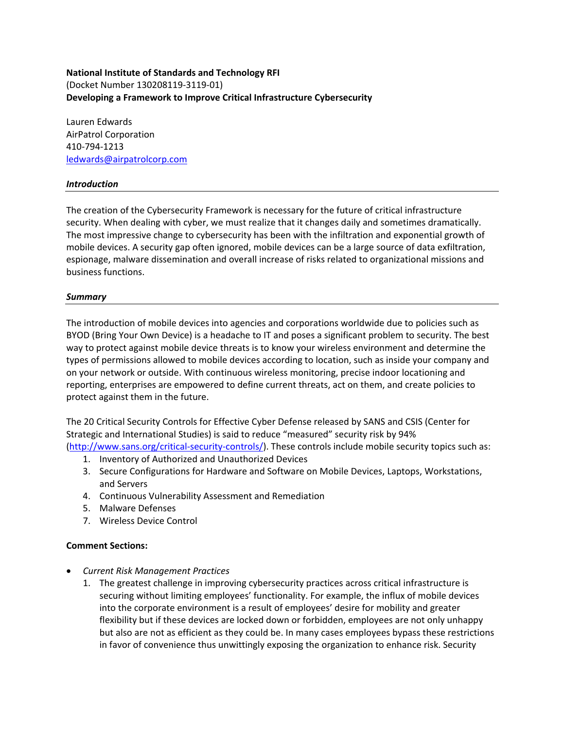## **National Institute of Standards and Technology RFI** (Docket Number 130208119-3119-01) **Developing a Framework to Improve Critical Infrastructure Cybersecurity**

Lauren Edwards AirPatrol Corporation 410-794-1213 [ledwards@airpatrolcorp.com](mailto:ledwards@airpatrolcorp.com)

## *Introduction*

The creation of the Cybersecurity Framework is necessary for the future of critical infrastructure security. When dealing with cyber, we must realize that it changes daily and sometimes dramatically. The most impressive change to cybersecurity has been with the infiltration and exponential growth of mobile devices. A security gap often ignored, mobile devices can be a large source of data exfiltration, espionage, malware dissemination and overall increase of risks related to organizational missions and business functions.

## *Summary*

The introduction of mobile devices into agencies and corporations worldwide due to policies such as BYOD (Bring Your Own Device) is a headache to IT and poses a significant problem to security. The best way to protect against mobile device threats is to know your wireless environment and determine the types of permissions allowed to mobile devices according to location, such as inside your company and on your network or outside. With continuous wireless monitoring, precise indoor locationing and reporting, enterprises are empowered to define current threats, act on them, and create policies to protect against them in the future.

The 20 Critical Security Controls for Effective Cyber Defense released by SANS and CSIS (Center for Strategic and International Studies) is said to reduce "measured" security risk by 94% [\(http://www.sans.org/critical-security-controls/\)](http://www.sans.org/critical-security-controls/). These controls include mobile security topics such as:

- 1. Inventory of Authorized and Unauthorized Devices
- 3. Secure Configurations for Hardware and Software on Mobile Devices, Laptops, Workstations, and Servers
- 4. Continuous Vulnerability Assessment and Remediation
- 5. Malware Defenses
- 7. Wireless Device Control

## **Comment Sections:**

- *Current Risk Management Practices*
	- 1. The greatest challenge in improving cybersecurity practices across critical infrastructure is securing without limiting employees' functionality. For example, the influx of mobile devices into the corporate environment is a result of employees' desire for mobility and greater flexibility but if these devices are locked down or forbidden, employees are not only unhappy but also are not as efficient as they could be. In many cases employees bypass these restrictions in favor of convenience thus unwittingly exposing the organization to enhance risk. Security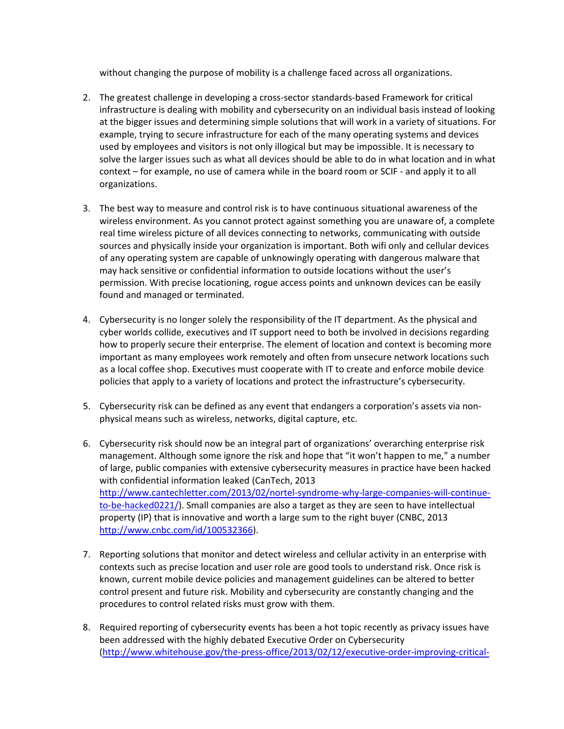without changing the purpose of mobility is a challenge faced across all organizations.

- 2. The greatest challenge in developing a cross-sector standards-based Framework for critical infrastructure is dealing with mobility and cybersecurity on an individual basis instead of looking at the bigger issues and determining simple solutions that will work in a variety of situations. For example, trying to secure infrastructure for each of the many operating systems and devices used by employees and visitors is not only illogical but may be impossible. It is necessary to solve the larger issues such as what all devices should be able to do in what location and in what context – for example, no use of camera while in the board room or SCIF - and apply it to all organizations.
- 3. The best way to measure and control risk is to have continuous situational awareness of the wireless environment. As you cannot protect against something you are unaware of, a complete real time wireless picture of all devices connecting to networks, communicating with outside sources and physically inside your organization is important. Both wifi only and cellular devices of any operating system are capable of unknowingly operating with dangerous malware that may hack sensitive or confidential information to outside locations without the user's permission. With precise locationing, rogue access points and unknown devices can be easily found and managed or terminated.
- 4. Cybersecurity is no longer solely the responsibility of the IT department. As the physical and cyber worlds collide, executives and IT support need to both be involved in decisions regarding how to properly secure their enterprise. The element of location and context is becoming more important as many employees work remotely and often from unsecure network locations such as a local coffee shop. Executives must cooperate with IT to create and enforce mobile device policies that apply to a variety of locations and protect the infrastructure's cybersecurity.
- 5. Cybersecurity risk can be defined as any event that endangers a corporation's assets via nonphysical means such as wireless, networks, digital capture, etc.
- 6. Cybersecurity risk should now be an integral part of organizations' overarching enterprise risk management. Although some ignore the risk and hope that "it won't happen to me," a number of large, public companies with extensive cybersecurity measures in practice have been hacked with confidential information leaked (CanTech, 2013 [http://www.cantechletter.com/2013/02/nortel-syndrome-why-large-companies-will-continue](http://www.cantechletter.com/2013/02/nortel-syndrome-why-large-companies-will-continue-to-be-hacked0221/)[to-be-hacked0221/\)](http://www.cantechletter.com/2013/02/nortel-syndrome-why-large-companies-will-continue-to-be-hacked0221/). Small companies are also a target as they are seen to have intellectual property (IP) that is innovative and worth a large sum to the right buyer (CNBC, 2013 [http://www.cnbc.com/id/100532366\)](http://www.cnbc.com/id/100532366).
- 7. Reporting solutions that monitor and detect wireless and cellular activity in an enterprise with contexts such as precise location and user role are good tools to understand risk. Once risk is known, current mobile device policies and management guidelines can be altered to better control present and future risk. Mobility and cybersecurity are constantly changing and the procedures to control related risks must grow with them.
- 8. Required reporting of cybersecurity events has been a hot topic recently as privacy issues have been addressed with the highly debated Executive Order on Cybersecurity [\(http://www.whitehouse.gov/the-press-office/2013/02/12/executive-order-improving-critical-](http://www.whitehouse.gov/the-press-office/2013/02/12/executive-order-improving-critical-infrastructure-cybersecurity)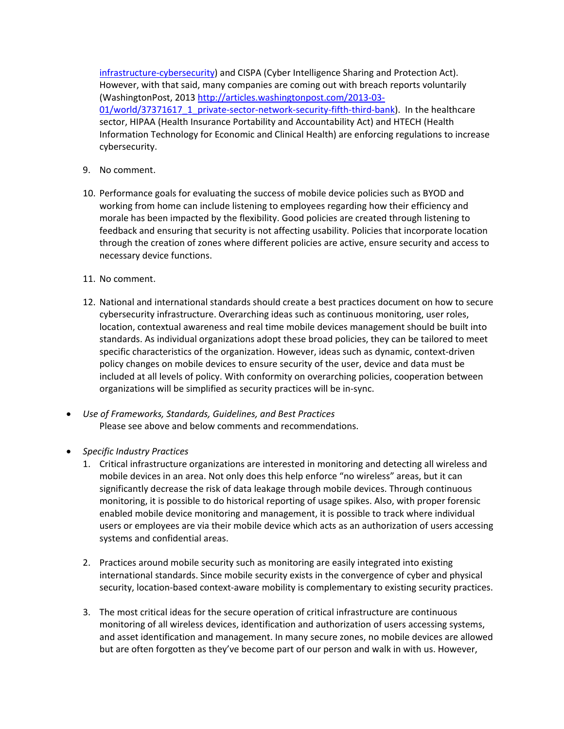[infrastructure-cybersecurity\)](http://www.whitehouse.gov/the-press-office/2013/02/12/executive-order-improving-critical-infrastructure-cybersecurity) and CISPA (Cyber Intelligence Sharing and Protection Act). However, with that said, many companies are coming out with breach reports voluntarily (WashingtonPost, 201[3 http://articles.washingtonpost.com/2013-03-](http://articles.washingtonpost.com/2013-03-01/world/37371617_1_private-sector-network-security-fifth-third-bank) [01/world/37371617\\_1\\_private-sector-network-security-fifth-third-bank\)](http://articles.washingtonpost.com/2013-03-01/world/37371617_1_private-sector-network-security-fifth-third-bank). In the healthcare sector, HIPAA (Health Insurance Portability and Accountability Act) and HTECH (Health Information Technology for Economic and Clinical Health) are enforcing regulations to increase cybersecurity.

- 9. No comment.
- 10. Performance goals for evaluating the success of mobile device policies such as BYOD and working from home can include listening to employees regarding how their efficiency and morale has been impacted by the flexibility. Good policies are created through listening to feedback and ensuring that security is not affecting usability. Policies that incorporate location through the creation of zones where different policies are active, ensure security and access to necessary device functions.
- 11. No comment.
- 12. National and international standards should create a best practices document on how to secure cybersecurity infrastructure. Overarching ideas such as continuous monitoring, user roles, location, contextual awareness and real time mobile devices management should be built into standards. As individual organizations adopt these broad policies, they can be tailored to meet specific characteristics of the organization. However, ideas such as dynamic, context-driven policy changes on mobile devices to ensure security of the user, device and data must be included at all levels of policy. With conformity on overarching policies, cooperation between organizations will be simplified as security practices will be in-sync.
- *Use of Frameworks, Standards, Guidelines, and Best Practices* Please see above and below comments and recommendations.
- *Specific Industry Practices*
	- 1. Critical infrastructure organizations are interested in monitoring and detecting all wireless and mobile devices in an area. Not only does this help enforce "no wireless" areas, but it can significantly decrease the risk of data leakage through mobile devices. Through continuous monitoring, it is possible to do historical reporting of usage spikes. Also, with proper forensic enabled mobile device monitoring and management, it is possible to track where individual users or employees are via their mobile device which acts as an authorization of users accessing systems and confidential areas.
	- 2. Practices around mobile security such as monitoring are easily integrated into existing international standards. Since mobile security exists in the convergence of cyber and physical security, location-based context-aware mobility is complementary to existing security practices.
	- 3. The most critical ideas for the secure operation of critical infrastructure are continuous monitoring of all wireless devices, identification and authorization of users accessing systems, and asset identification and management. In many secure zones, no mobile devices are allowed but are often forgotten as they've become part of our person and walk in with us. However,